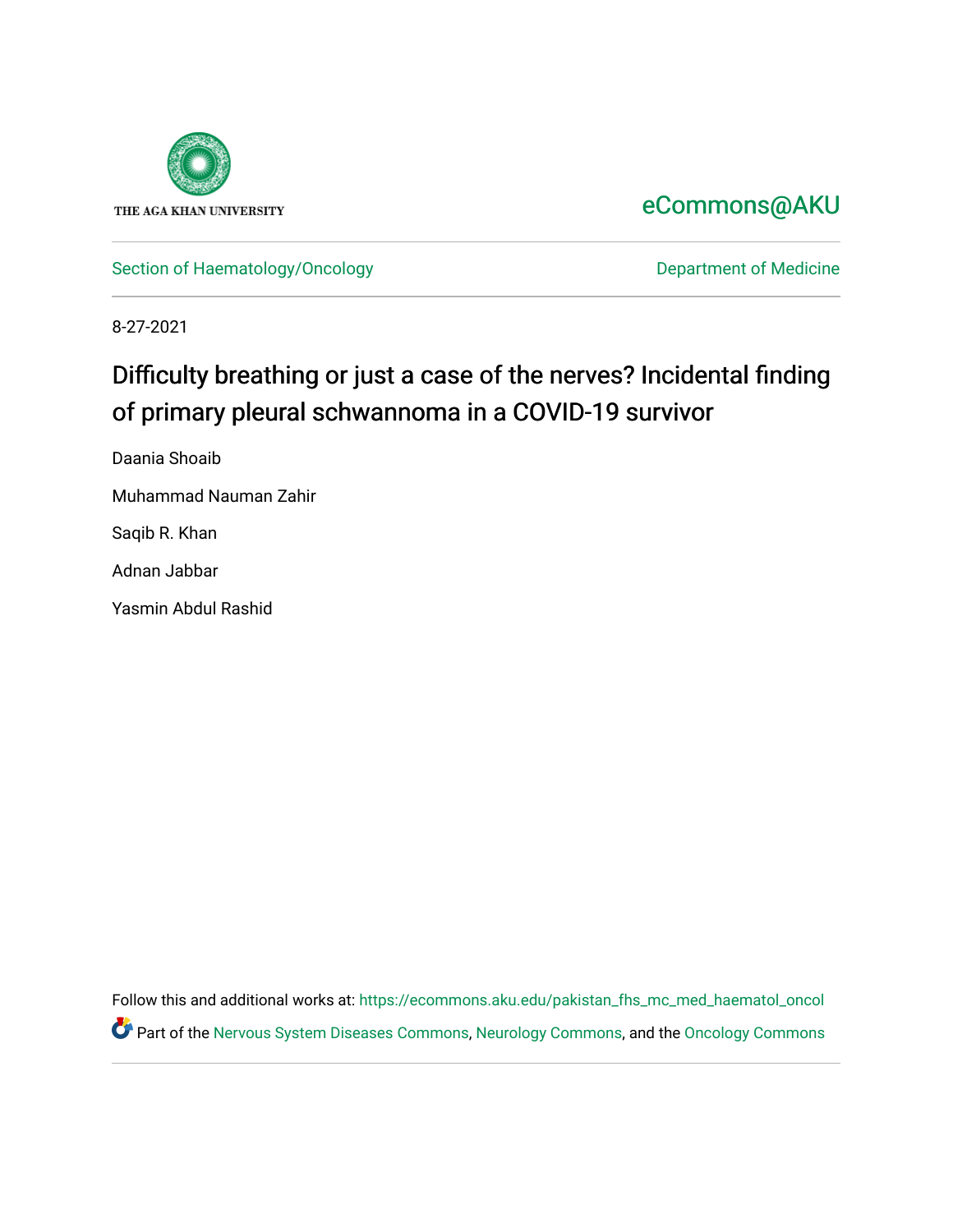

## [eCommons@AKU](https://ecommons.aku.edu/)

[Section of Haematology/Oncology](https://ecommons.aku.edu/pakistan_fhs_mc_med_haematol_oncol) **Department of Medicine** 

8-27-2021

# Difficulty breathing or just a case of the nerves? Incidental finding of primary pleural schwannoma in a COVID-19 survivor

Daania Shoaib

Muhammad Nauman Zahir

Saqib R. Khan

Adnan Jabbar

Yasmin Abdul Rashid

Follow this and additional works at: [https://ecommons.aku.edu/pakistan\\_fhs\\_mc\\_med\\_haematol\\_oncol](https://ecommons.aku.edu/pakistan_fhs_mc_med_haematol_oncol?utm_source=ecommons.aku.edu%2Fpakistan_fhs_mc_med_haematol_oncol%2F72&utm_medium=PDF&utm_campaign=PDFCoverPages)  **C** Part of the [Nervous System Diseases Commons](http://network.bepress.com/hgg/discipline/928?utm_source=ecommons.aku.edu%2Fpakistan_fhs_mc_med_haematol_oncol%2F72&utm_medium=PDF&utm_campaign=PDFCoverPages), [Neurology Commons,](http://network.bepress.com/hgg/discipline/692?utm_source=ecommons.aku.edu%2Fpakistan_fhs_mc_med_haematol_oncol%2F72&utm_medium=PDF&utm_campaign=PDFCoverPages) and the [Oncology Commons](http://network.bepress.com/hgg/discipline/694?utm_source=ecommons.aku.edu%2Fpakistan_fhs_mc_med_haematol_oncol%2F72&utm_medium=PDF&utm_campaign=PDFCoverPages)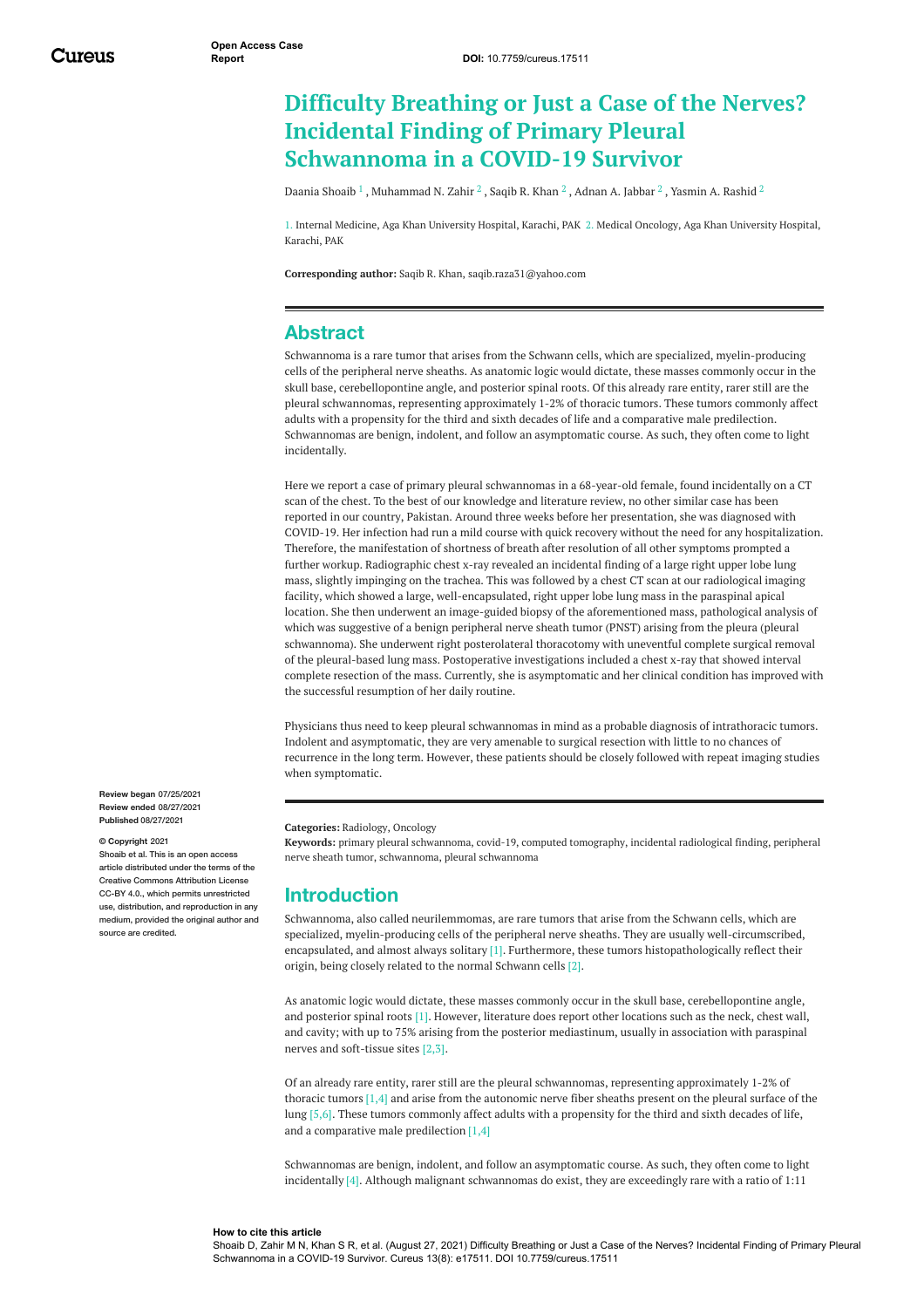## **Difficulty Breathing or Just a Case of the Nerves? Incidental Finding of Primary Pleural Schwannoma in a COVID-19 Survivor**

[Daania](https://www.cureus.com/users/266866-daania-shoaib) Shoaib $^1$  , [Muhammad](https://www.cureus.com/users/133420-muhammad-n-zahir) N. Zahir  $^2$  , [Saqib](https://www.cureus.com/users/229542-saqib-r-khan) R. Khan  $^2$  , [Adnan](https://www.cureus.com/users/104287-adnan-a-jabbar) A. Jabbar  $^2$  , [Yasmin](https://www.cureus.com/users/112461-yasmin-rashid) A. Rashid  $^2$ 

1. Internal Medicine, Aga Khan University Hospital, Karachi, PAK 2. Medical Oncology, Aga Khan University Hospital, Karachi, PAK

**Corresponding author:** Saqib R. Khan, saqib.raza31@yahoo.com

## **Abstract**

Schwannoma is a rare tumor that arises from the Schwann cells, which are specialized, myelin-producing cells of the peripheral nerve sheaths. As anatomic logic would dictate, these masses commonly occur in the skull base, cerebellopontine angle, and posterior spinal roots. Of this already rare entity, rarer still are the pleural schwannomas, representing approximately 1-2% of thoracic tumors. These tumors commonly affect adults with a propensity for the third and sixth decades of life and a comparative male predilection. Schwannomas are benign, indolent, and follow an asymptomatic course. As such, they often come to light incidentally.

<span id="page-1-0"></span>Here we report a case of primary pleural schwannomas in a 68-year-old female, found incidentally on a CT scan of the chest. To the best of our knowledge and literature review, no other similar case has been reported in our country, Pakistan. Around three weeks before her presentation, she was diagnosed with COVID-19. Her infection had run a mild course with quick recovery without the need for any hospitalization. Therefore, the manifestation of shortness of breath after resolution of all other symptoms prompted a further workup. Radiographic chest x-ray revealed an incidental finding of a large right upper lobe lung mass, slightly impinging on the trachea. This was followed by a chest CT scan at our radiological imaging facility, which showed a large, well-encapsulated, right upper lobe lung mass in the paraspinal apical location. She then underwent an image-guided biopsy of the aforementioned mass, pathological analysis of which was suggestive of a benign peripheral nerve sheath tumor (PNST) arising from the pleura (pleural schwannoma). She underwent right posterolateral thoracotomy with uneventful complete surgical removal of the pleural-based lung mass. Postoperative investigations included a chest x-ray that showed interval complete resection of the mass. Currently, she is asymptomatic and her clinical condition has improved with the successful resumption of her daily routine.

Physicians thus need to keep pleural schwannomas in mind as a probable diagnosis of intrathoracic tumors. Indolent and asymptomatic, they are very amenable to surgical resection with little to no chances of recurrence in the long term. However, these patients should be closely followed with repeat imaging studies when symptomatic.

**Categories:** Radiology, Oncology

**Keywords:** primary pleural schwannoma, covid-19, computed tomography, incidental radiological finding, peripheral nerve sheath tumor, schwannoma, pleural schwannoma

## **Introduction**

Schwannoma, also called neurilemmomas, are rare tumors that arise from the Schwann cells, which are specialized, myelin-producing cells of the peripheral nerve sheaths. They are usually well-circumscribed, encapsulated, and almost always solitary [1]. Furthermore, these tumors histopathologically reflect their origin, being closely related to the normal Schwann cells [2].

As anatomic logic would dictate, these masses commonly occur in the skull base, cerebellopontine angle, and posterior spinal roots [1]. However, literature does report other locations such as the neck, chest wall, and cavity; with up to 75% arising from the posterior mediastinum, usually in association with paraspinal nerves and soft-tissue sites [2,3].

Of an already rare entity, rarer still are the pleural schwannomas, representing approximately 1-2% of thoracic tumors [1,4] and arise from the autonomic nerve fiber sheaths present on the pleural surface of the lung [5,6]. These tumors commonly affect adults with a propensity for the third and sixth decades of life, and a comparative male predilection [1,4]

Schwannomas are benign, indolent, and follow an asymptomatic course. As such, they often come to light incidentally [4]. Although malignant schwannomas do exist, they are exceedingly rare with a ratio of 1:11

**Review began** 07/25/2021 **Review ended** 08/27/2021 **Published** 08/27/2021

#### **© Copyright** 2021

Shoaib et al. This is an open access article distributed under the terms of the Creative Commons Attribution License CC-BY 4.0., which permits unrestricted use, distribution, and reproduction in any medium, provided the original author and source are credited

#### **How to cite this article**

Shoaib D, Zahir M N, Khan S R, et al. (August 27, 2021) Difficulty Breathing or Just a Case of the Nerves? Incidental Finding of Primary Pleural Schwannoma in a COVID-19 Survivor. Cureus 13(8): e17511. DOI 10.7759/cureus.17511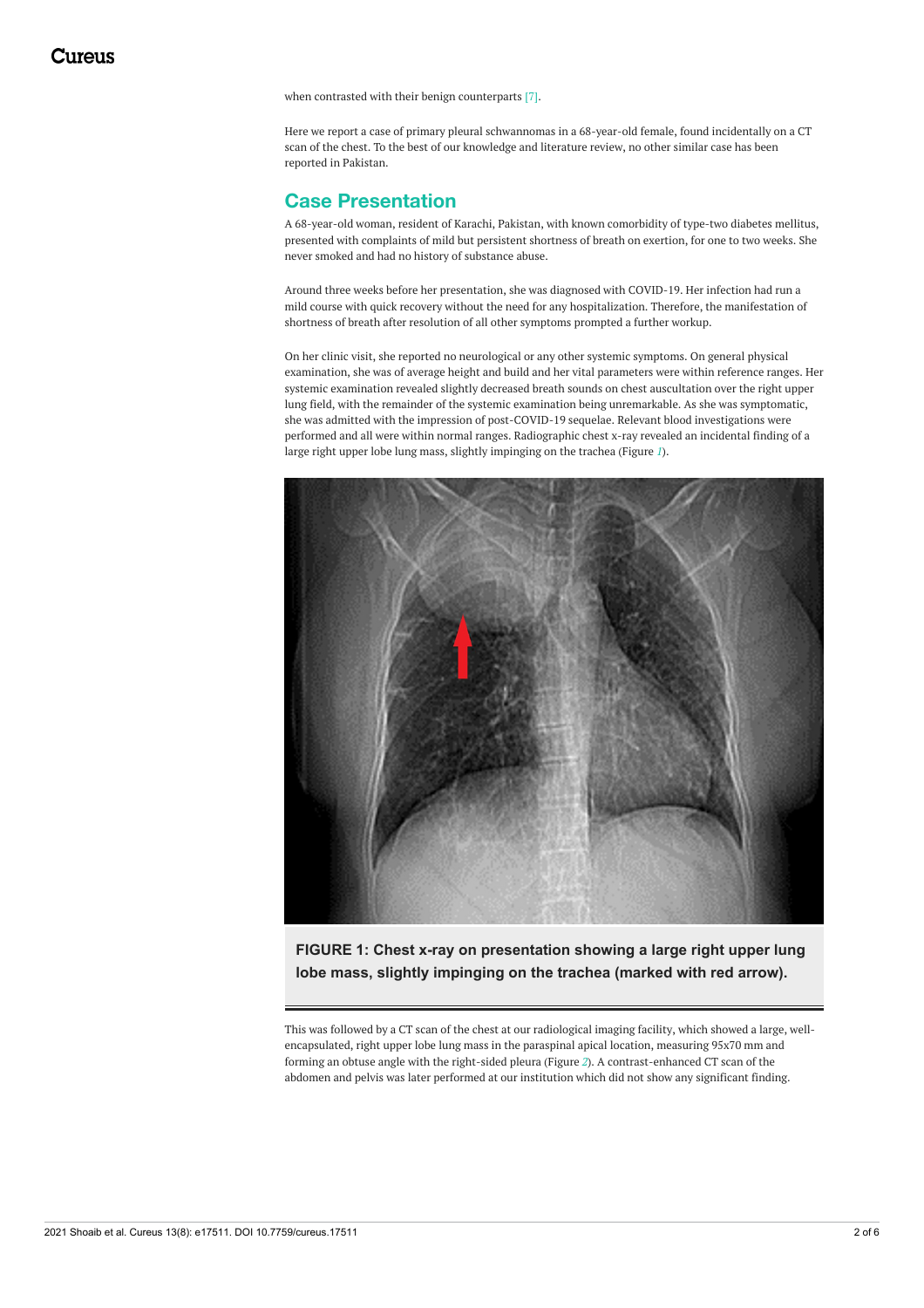<span id="page-2-0"></span>when contrasted with their benign counterparts [7].

Here we report a case of primary pleural schwannomas in a 68-year-old female, found incidentally on a CT scan of the chest. To the best of our knowledge and literature review, no other similar case has been reported in Pakistan.

## **Case Presentation**

A 68-year-old woman, resident of Karachi, Pakistan, with known comorbidity of type-two diabetes mellitus, presented with complaints of mild but persistent shortness of breath on exertion, for one to two weeks. She never smoked and had no history of substance abuse.

Around three weeks before her presentation, she was diagnosed with COVID-19. Her infection had run a mild course with quick recovery without the need for any hospitalization. Therefore, the manifestation of shortness of breath after resolution of all other symptoms prompted a further workup.

On her clinic visit, she reported no neurological or any other systemic symptoms. On general physical examination, she was of average height and build and her vital parameters were within reference ranges. Her systemic examination revealed slightly decreased breath sounds on chest auscultation over the right upper lung field, with the remainder of the systemic examination being unremarkable. As she was symptomatic, she was admitted with the impression of post-COVID-19 sequelae. Relevant blood investigations were performed and all were within normal ranges. Radiographic chest x-ray revealed an incidental finding of a large right upper lobe lung mass, slightly impinging on the trachea (Figure *[1](#page-1-0)*).

<span id="page-2-1"></span>

**FIGURE 1: Chest x-ray on presentation showing a large right upper lung lobe mass, slightly impinging on the trachea (marked with red arrow).**

This was followed by a CT scan of the chest at our radiological imaging facility, which showed a large, wellencapsulated, right upper lobe lung mass in the paraspinal apical location, measuring 95x70 mm and forming an obtuse angle with the right-sided pleura (Figure *[2](#page-2-0)*). A contrast-enhanced CT scan of the abdomen and pelvis was later performed at our institution which did not show any significant finding.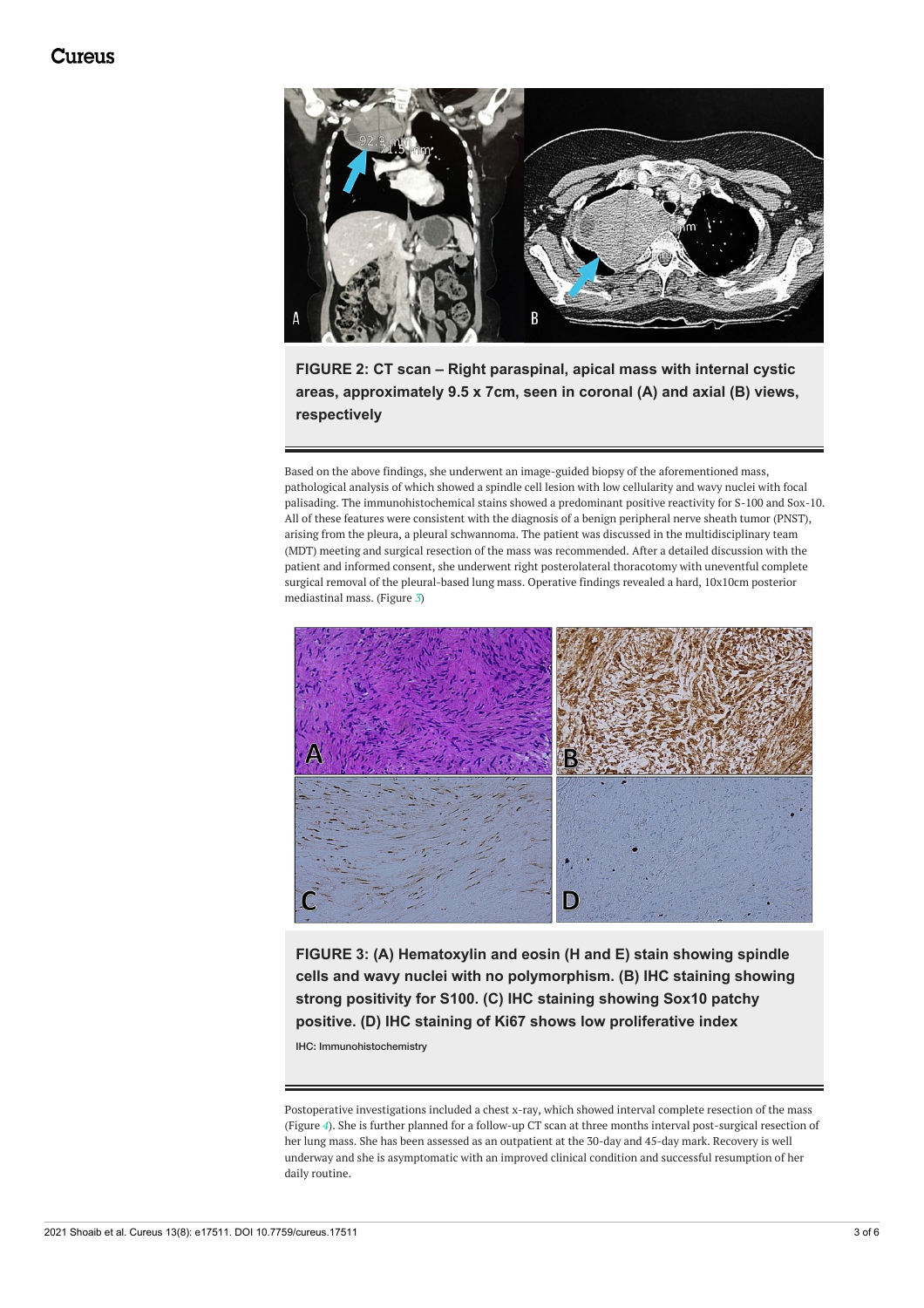<span id="page-3-0"></span>

**FIGURE 2: CT scan – Right paraspinal, apical mass with internal cystic areas, approximately 9.5 x 7cm, seen in coronal (A) and axial (B) views, respectively**

Based on the above findings, she underwent an image-guided biopsy of the aforementioned mass, pathological analysis of which showed a spindle cell lesion with low cellularity and wavy nuclei with focal palisading. The immunohistochemical stains showed a predominant positive reactivity for S-100 and Sox-10. All of these features were consistent with the diagnosis of a benign peripheral nerve sheath tumor (PNST), arising from the pleura, a pleural schwannoma. The patient was discussed in the multidisciplinary team (MDT) meeting and surgical resection of the mass was recommended. After a detailed discussion with the patient and informed consent, she underwent right posterolateral thoracotomy with uneventful complete surgical removal of the pleural-based lung mass. Operative findings revealed a hard, 10x10cm posterior mediastinal mass. (Figure *[3](#page-2-1)*)



**FIGURE 3: (A) Hematoxylin and eosin (H and E) stain showing spindle cells and wavy nuclei with no polymorphism. (B) IHC staining showing strong positivity for S100. (C) IHC staining showing Sox10 patchy positive. (D) IHC staining of Ki67 shows low proliferative index**

IHC: Immunohistochemistry

Postoperative investigations included a chest x-ray, which showed interval complete resection of the mass (Figure *[4](#page-3-0)*). She is further planned for a follow-up CT scan at three months interval post-surgical resection of her lung mass. She has been assessed as an outpatient at the 30-day and 45-day mark. Recovery is well underway and she is asymptomatic with an improved clinical condition and successful resumption of her daily routine.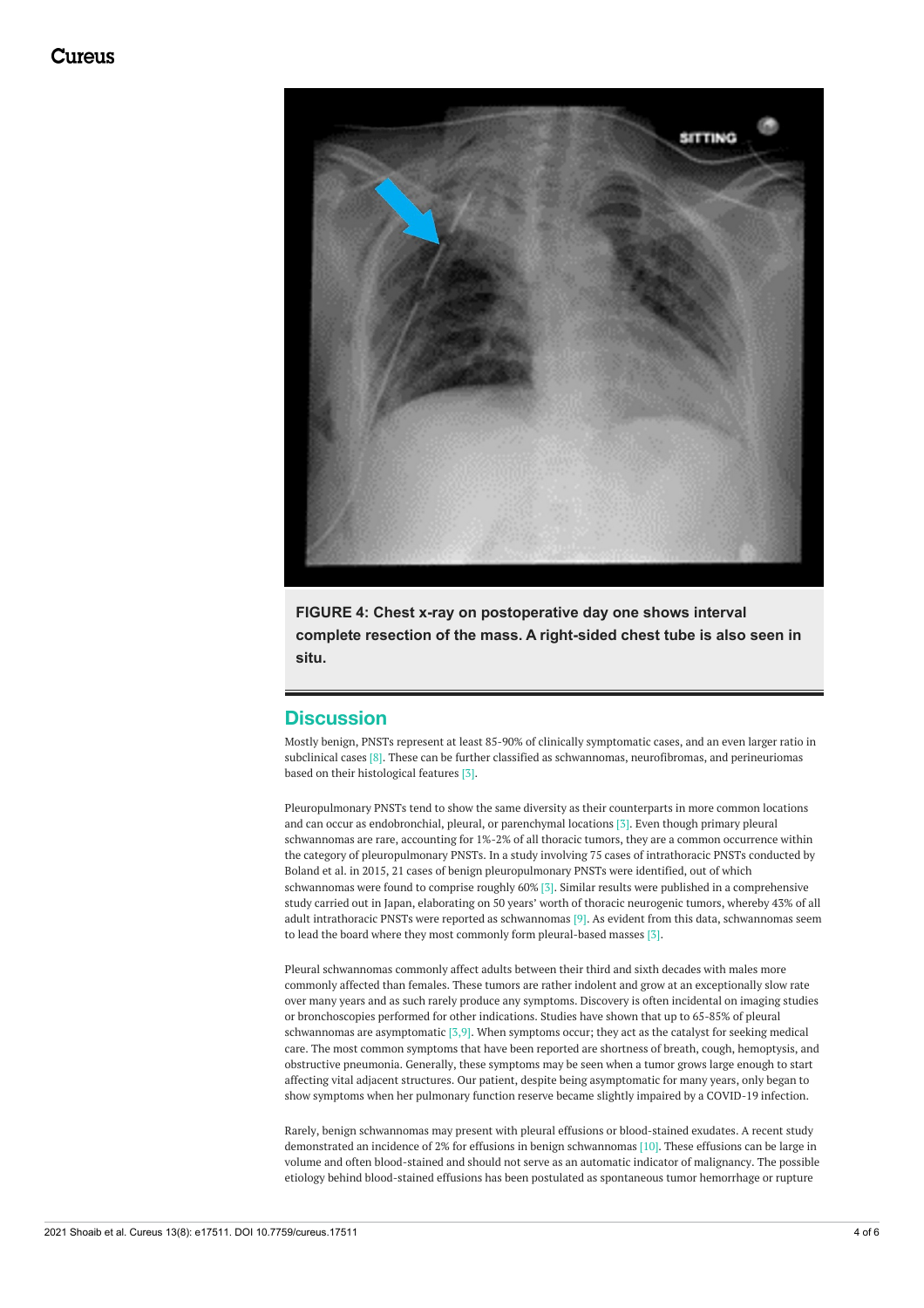

**FIGURE 4: Chest x-ray on postoperative day one shows interval complete resection of the mass. A right-sided chest tube is also seen in situ.**

## **Discussion**

Mostly benign, PNSTs represent at least 85-90% of clinically symptomatic cases, and an even larger ratio in subclinical cases [8]. These can be further classified as schwannomas, neurofibromas, and perineuriomas based on their histological features [3].

Pleuropulmonary PNSTs tend to show the same diversity as their counterparts in more common locations and can occur as endobronchial, pleural, or parenchymal locations [3]. Even though primary pleural schwannomas are rare, accounting for 1%-2% of all thoracic tumors, they are a common occurrence within the category of pleuropulmonary PNSTs. In a study involving 75 cases of intrathoracic PNSTs conducted by Boland et al. in 2015, 21 cases of benign pleuropulmonary PNSTs were identified, out of which schwannomas were found to comprise roughly 60% [3]. Similar results were published in a comprehensive study carried out in Japan, elaborating on 50 years' worth of thoracic neurogenic tumors, whereby 43% of all adult intrathoracic PNSTs were reported as schwannomas [9]. As evident from this data, schwannomas seem to lead the board where they most commonly form pleural-based masses [3].

Pleural schwannomas commonly affect adults between their third and sixth decades with males more commonly affected than females. These tumors are rather indolent and grow at an exceptionally slow rate over many years and as such rarely produce any symptoms. Discovery is often incidental on imaging studies or bronchoscopies performed for other indications. Studies have shown that up to 65-85% of pleural schwannomas are asymptomatic [3,9]. When symptoms occur; they act as the catalyst for seeking medical care. The most common symptoms that have been reported are shortness of breath, cough, hemoptysis, and obstructive pneumonia. Generally, these symptoms may be seen when a tumor grows large enough to start affecting vital adjacent structures. Our patient, despite being asymptomatic for many years, only began to show symptoms when her pulmonary function reserve became slightly impaired by a COVID-19 infection.

Rarely, benign schwannomas may present with pleural effusions or blood-stained exudates. A recent study demonstrated an incidence of 2% for effusions in benign schwannomas [10]. These effusions can be large in volume and often blood-stained and should not serve as an automatic indicator of malignancy. The possible etiology behind blood-stained effusions has been postulated as spontaneous tumor hemorrhage or rupture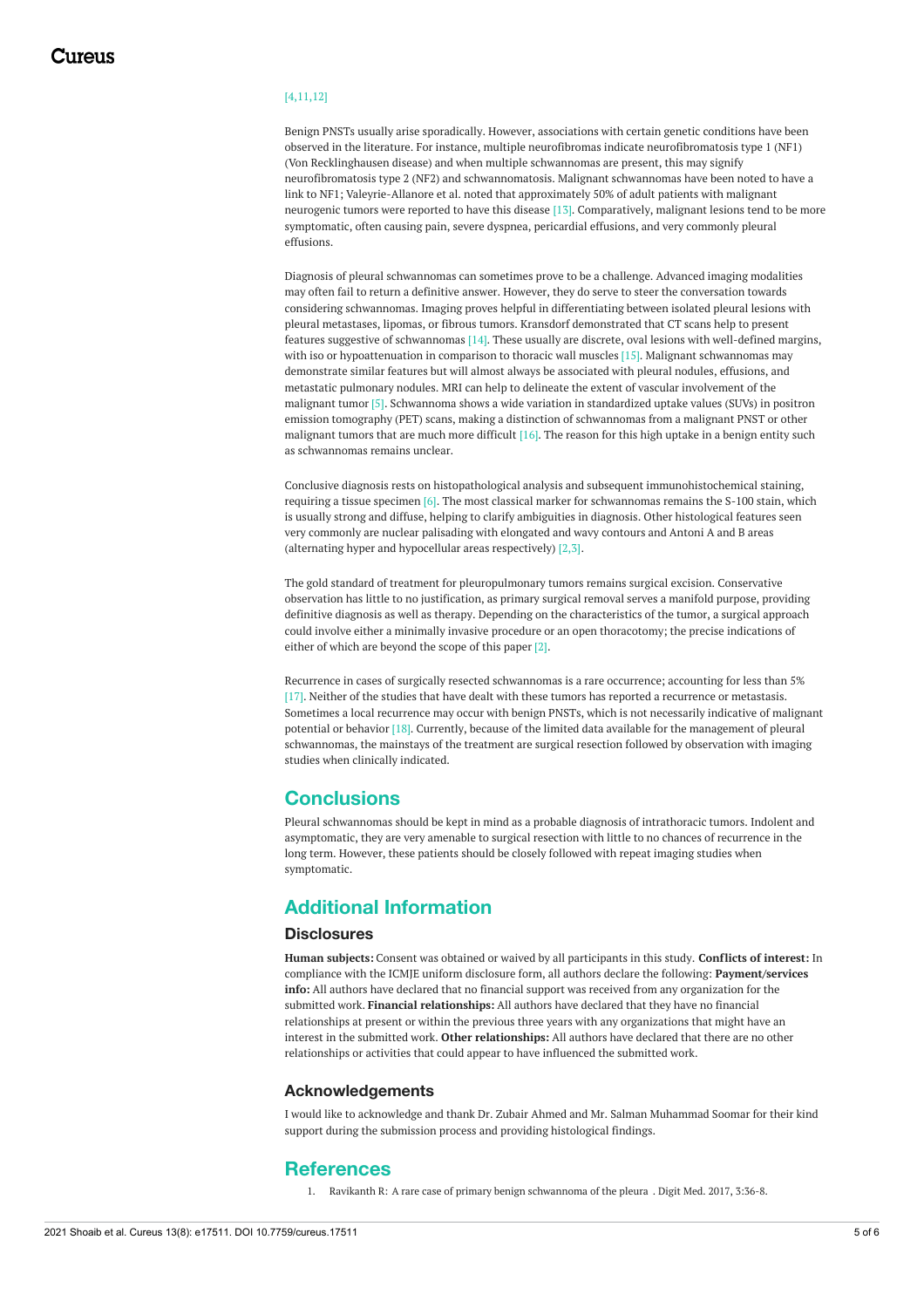### [4,11,12]

Benign PNSTs usually arise sporadically. However, associations with certain genetic conditions have been observed in the literature. For instance, multiple neurofibromas indicate neurofibromatosis type 1 (NF1) (Von Recklinghausen disease) and when multiple schwannomas are present, this may signify neurofibromatosis type 2 (NF2) and schwannomatosis. Malignant schwannomas have been noted to have a link to NF1; Valeyrie-Allanore et al. noted that approximately 50% of adult patients with malignant neurogenic tumors were reported to have this disease [13]. Comparatively, malignant lesions tend to be more symptomatic, often causing pain, severe dyspnea, pericardial effusions, and very commonly pleural effusions.

Diagnosis of pleural schwannomas can sometimes prove to be a challenge. Advanced imaging modalities may often fail to return a definitive answer. However, they do serve to steer the conversation towards considering schwannomas. Imaging proves helpful in differentiating between isolated pleural lesions with pleural metastases, lipomas, or fibrous tumors. Kransdorf demonstrated that CT scans help to present features suggestive of schwannomas [14]. These usually are discrete, oval lesions with well-defined margins, with iso or hypoattenuation in comparison to thoracic wall muscles [15]. Malignant schwannomas may demonstrate similar features but will almost always be associated with pleural nodules, effusions, and metastatic pulmonary nodules. MRI can help to delineate the extent of vascular involvement of the malignant tumor [5]. Schwannoma shows a wide variation in standardized uptake values (SUVs) in positron emission tomography (PET) scans, making a distinction of schwannomas from a malignant PNST or other malignant tumors that are much more difficult  $[16]$ . The reason for this high uptake in a benign entity such as schwannomas remains unclear.

Conclusive diagnosis rests on histopathological analysis and subsequent immunohistochemical staining, requiring a tissue specimen [6]. The most classical marker for schwannomas remains the S-100 stain, which is usually strong and diffuse, helping to clarify ambiguities in diagnosis. Other histological features seen very commonly are nuclear palisading with elongated and wavy contours and Antoni A and B areas (alternating hyper and hypocellular areas respectively)  $[2,3]$ .

The gold standard of treatment for pleuropulmonary tumors remains surgical excision. Conservative observation has little to no justification, as primary surgical removal serves a manifold purpose, providing definitive diagnosis as well as therapy. Depending on the characteristics of the tumor, a surgical approach could involve either a minimally invasive procedure or an open thoracotomy; the precise indications of either of which are beyond the scope of this paper [2].

Recurrence in cases of surgically resected schwannomas is a rare occurrence; accounting for less than 5% [17]. Neither of the studies that have dealt with these tumors has reported a recurrence or metastasis. Sometimes a local recurrence may occur with benign PNSTs, which is not necessarily indicative of malignant potential or behavior [18]. Currently, because of the limited data available for the management of pleural schwannomas, the mainstays of the treatment are surgical resection followed by observation with imaging studies when clinically indicated.

## **Conclusions**

Pleural schwannomas should be kept in mind as a probable diagnosis of intrathoracic tumors. Indolent and asymptomatic, they are very amenable to surgical resection with little to no chances of recurrence in the long term. However, these patients should be closely followed with repeat imaging studies when symptomatic.

## **Additional Information**

#### **Disclosures**

**Human subjects:** Consent was obtained or waived by all participants in this study. **Conflicts of interest:** In compliance with the ICMJE uniform disclosure form, all authors declare the following: **Payment/services info:** All authors have declared that no financial support was received from any organization for the submitted work. **Financial relationships:** All authors have declared that they have no financial relationships at present or within the previous three years with any organizations that might have an interest in the submitted work. **Other relationships:** All authors have declared that there are no other relationships or activities that could appear to have influenced the submitted work.

#### **Acknowledgements**

I would like to acknowledge and thank Dr. Zubair Ahmed and Mr. Salman Muhammad Soomar for their kind support during the submission process and providing histological findings.

### **References**

1. Ravikanth R: A rare case of primary benign [schwannoma](https://dx.doi.org/10.4103/digm.digm_31_16) of the pleura . Digit Med. 2017, 3:36-8.